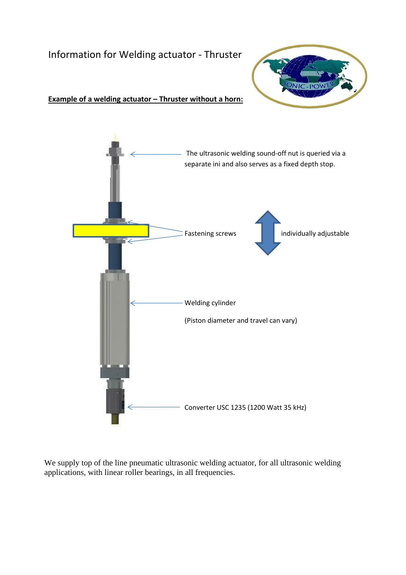# Information for Welding actuator - Thruster



#### **Example of a welding actuator – Thruster without a horn:**



We supply top of the line pneumatic ultrasonic welding actuator, for all ultrasonic welding applications, with linear roller bearings, in all frequencies.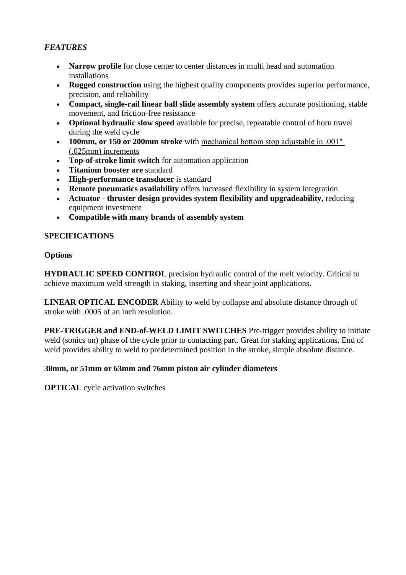# *FEATURES*

- **Narrow profile** for close center to center distances in multi head and automation installations
- **Rugged construction** using the highest quality components provides superior performance, precision, and reliability
- **Compact, single-rail linear ball slide assembly system** offers accurate positioning, stable movement, and friction-free resistance
- **Optional hydraulic slow speed** available for precise, repeatable control of horn travel during the weld cycle
- **100mm, or 150 or 200mm stroke** with mechanical bottom stop adjustable in .001″ (.025mm) increments
- **Top-of-stroke limit switch** for automation application
- **Titanium booster are** standard
- **High-performance transducer** is standard
- **Remote pneumatics availability** offers increased flexibility in system integration
- **Actuator - thruster design provides system flexibility and upgradeability,** reducing equipment investment
- **Compatible with many brands of assembly system**

## **SPECIFICATIONS**

## **Options**

**HYDRAULIC SPEED CONTROL** precision hydraulic control of the melt velocity. Critical to achieve maximum weld strength in staking, inserting and shear joint applications.

**LINEAR OPTICAL ENCODER** Ability to weld by collapse and absolute distance through of stroke with .0005 of an inch resolution.

**PRE-TRIGGER and END-of-WELD LIMIT SWITCHES** Pre-trigger provides ability to initiate weld (sonics on) phase of the cycle prior to contacting part. Great for staking applications. End of weld provides ability to weld to predetermined position in the stroke, simple absolute distance.

#### **38mm, or 51mm or 63mm and 76mm piston air cylinder diameters**

**OPTICAL** cycle activation switches